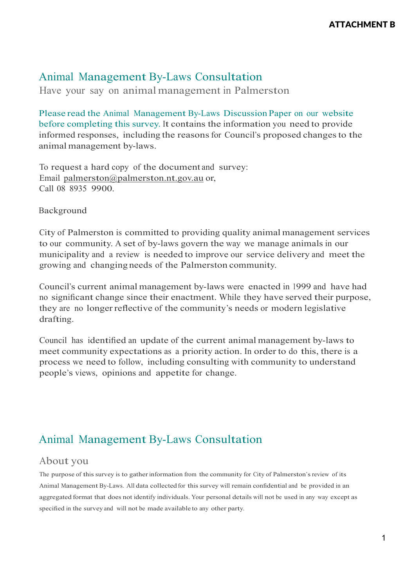Have your say on animalmanagement in Palmerston

Please read the Animal Management By-Laws Discussion Paper on our website before completing this survey. It contains the information you need to provide informed responses, including the reasons for Council's proposed changes to the animal management by-laws.

To request a hard copy of the document and survey: Email [palmerston@palmerston.nt.gov.au](mailto:palmerston@palmerston.nt.gov.au) or, Call 08 8935 9900.

Background

City of Palmerston is committed to providing quality animal management services to our community. <sup>A</sup> set of by-laws govern the way we manage animals in our municipality and a review is needed to improve our service delivery and meet the growing and changing needs of the Palmerston community.

Council's current animal management by-laws were enacted in 1999 and have had no significant change since their enactment. While they have served their purpose, they are no longerreflective of the community's needs or modern legislative drafting.

Council has identified an update of the current animal management by-laws to meet community expectations as <sup>a</sup> priority action. In order to do this, there is a process we need to follow, including consulting with community to understand people's views, opinions and appetite for change.

#### Animal Management By-Laws Consultation

#### About you

The purpose of this survey is to gather information from the community for City of Palmerston's review of its Animal Management By-Laws. All data collected for this survey will remain confidential and be provided in an aggregated format that does not identify individuals. Your personal details will not be used in any way except as specified in the survey and will not be made available to any other party.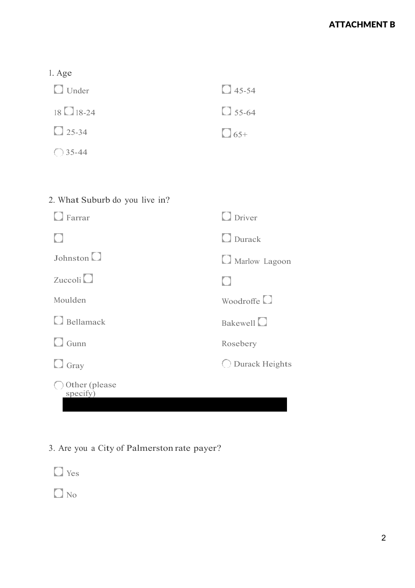#### ATTACHMENT B

|  | ×.<br>۰. |
|--|----------|
|--|----------|

| $\Box$ Under         | $\bigcirc$ 45-54 |
|----------------------|------------------|
| $18 \square 18 - 24$ | $\Box$ 55-64     |
| $\bigcirc$ 25-34     | $\Box$ 65+       |
| $\bigcirc$ 35-44     |                  |

| $\Box$ Farrar             | $\Box$ Driver            |
|---------------------------|--------------------------|
|                           | $\Box$ Durack            |
| Johnston $\Box$           | Marlow Lagoon            |
| Zuccoli                   |                          |
| Moulden                   | Woodroffe <sup>[1]</sup> |
| $\Box$ Bellamack          | Bakewell <sup>[1]</sup>  |
| $\Box$ Gunn               | Rosebery                 |
| $\Box$ Gray               | <b>Durack Heights</b>    |
| Other (please<br>specify) |                          |

## 3. Are you <sup>a</sup> City of Palmerston rate payer?

Yes

 $\Box$  No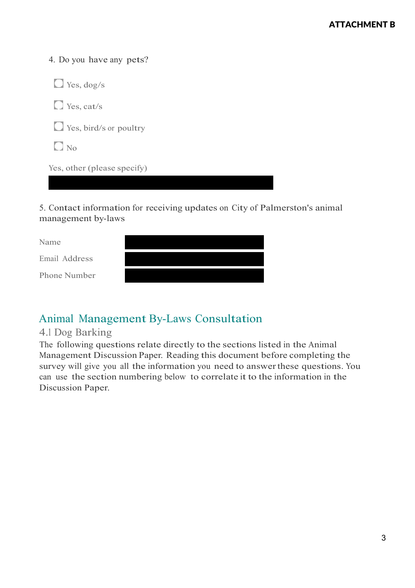4. Do you have any pets?



5. Contact information for receiving updates on City of Palmerston's animal management by-laws

Name

Email Address

Phone Number

### Animal Management By-Laws Consultation

#### 4.1 Dog Barking

The following questions relate directly to the sections listed in the Animal Management Discussion Paper. Reading this document before completing the survey will give you all the information you need to answerthese questions. You can use the section numbering below to correlate it to the information in the Discussion Paper.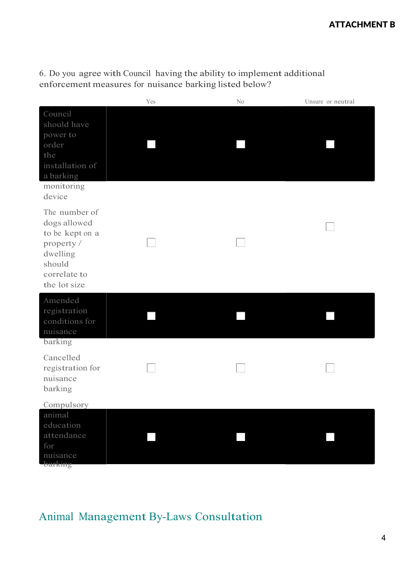6. Do you agree with Council having the ability to implement additional enforcement measures for nuisance barking listed below?

|                                                                                                                     | Yes | No | Unsure or neutral |
|---------------------------------------------------------------------------------------------------------------------|-----|----|-------------------|
| Council<br>should have<br>power to<br>order<br>the<br>installation of<br>a barking<br>monitoring<br>device          |     |    |                   |
| The number of<br>dogs allowed<br>to be kept on a<br>property/<br>dwelling<br>should<br>correlate to<br>the lot size |     |    |                   |
| Amended<br>registration<br>conditions for<br>nuisance<br>barking                                                    |     |    |                   |
| Cancelled<br>registration for<br>nuisance<br>barking                                                                |     |    |                   |
| Compulsory                                                                                                          |     |    |                   |
| animal<br>education<br>attendance<br>for<br>nuisance                                                                |     |    |                   |
| barking                                                                                                             |     |    |                   |

# Animal Management By-Laws Consultation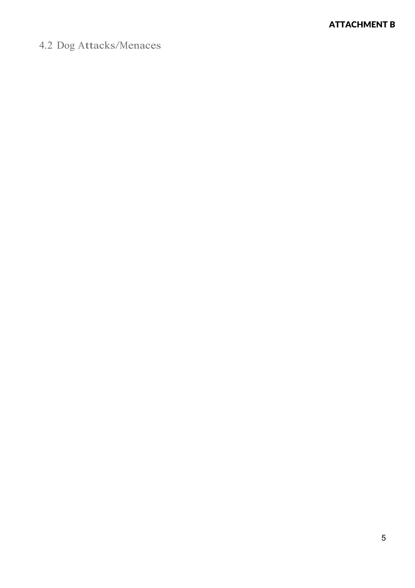# 4.2 Dog Attacks/Menaces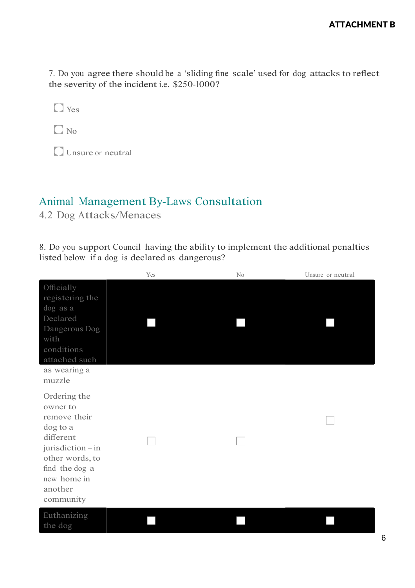7. Do you agree there should be <sup>a</sup> 'sliding fin<sup>e</sup> scale' used for dog attacks to reflect the severity of the incident i.e. \$250-1000?

**D** Yes

 $\Box$  No

Unsure or neutral

#### Animal Management By-Laws Consultation

4.2 Dog Attacks/Menaces

8. Do you support Council having the ability to implement the additional penalties listed below if a dog is declared as dangerous?

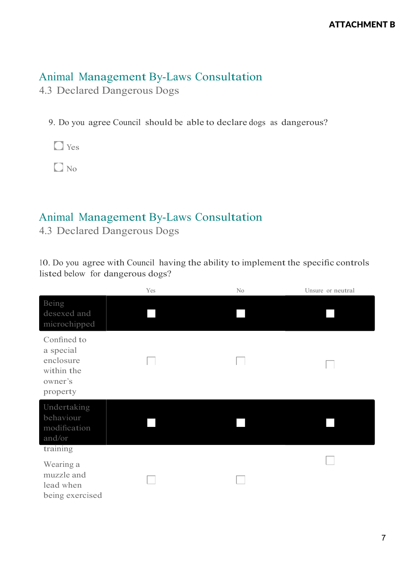4.3 Declared Dangerous Dogs

9. Do you agree Council should be able to declare dogs as dangerous?

**D** Yes

 $\Box$  No

### Animal Management By-Laws Consultation

4.3 Declared Dangerous Dogs

10. Do you agree with Council having the ability to implement the specific controls listed below for dangerous dogs?

|                                                                            | Yes | N <sub>o</sub> | Unsure or neutral |
|----------------------------------------------------------------------------|-----|----------------|-------------------|
| Being<br>desexed and<br>microchipped                                       |     |                |                   |
| Confined to<br>a special<br>enclosure<br>within the<br>owner's<br>property |     |                |                   |
| Undertaking<br>behaviour<br>modification<br>and/or<br>training             |     |                |                   |
| Wearing a<br>muzzle and<br>lead when<br>being exercised                    |     |                |                   |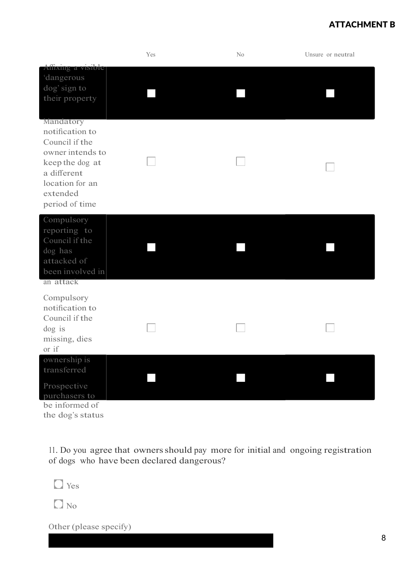#### ATTACHMENT B

|                                                                                                                                                       | Yes | N <sub>o</sub> | Unsure or neutral |
|-------------------------------------------------------------------------------------------------------------------------------------------------------|-----|----------------|-------------------|
| Affixing a visible<br>'dangerous<br>dog' sign to<br>their property                                                                                    |     |                |                   |
| Mandatory<br>notification to<br>Council if the<br>owner intends to<br>keep the dog at<br>a different<br>location for an<br>extended<br>period of time |     |                |                   |
| Compulsory<br>reporting to<br>Council if the<br>dog has<br>attacked of<br>been involved in<br>an attack                                               |     |                |                   |
| Compulsory<br>notification to<br>Council if the<br>dog is<br>missing, dies<br>or if                                                                   |     |                |                   |
| ownership is<br>transferred<br>Prospective<br>purchasers to<br>be informed of                                                                         |     |                |                   |

the dog's status

11. Do you agree that ownersshould pay more for initial and ongoing registration of dogs who have been declared dangerous?

**O** Yes

 $\Box$  No

Other (please specify)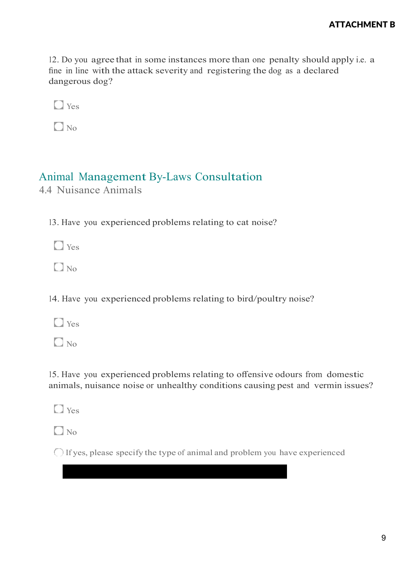12. Do you agree that in some instances more than one penalty should apply i.e. a fin<sup>e</sup> in line with the attack severity and registering the dog as <sup>a</sup> declared dangerous dog?

**D** Yes

 $\Box$  No

### Animal Management By-Laws Consultation

4.4 Nuisance Animals

13. Have you experienced problems relating to cat noise?

**D** Yes

 $\Box$  No

14. Have you experienced problems relating to bird/poultry noise?

**D** Yes

 $\Box$  No.

15. Have you experienced problems relating to offensive odours from domestic animals, nuisance noise or unhealthy conditions causing pest and vermin issues?

 $\Box$  Yes

 $\Box$  No

 $\bigcirc$  If yes, please specify the type of animal and problem you have experienced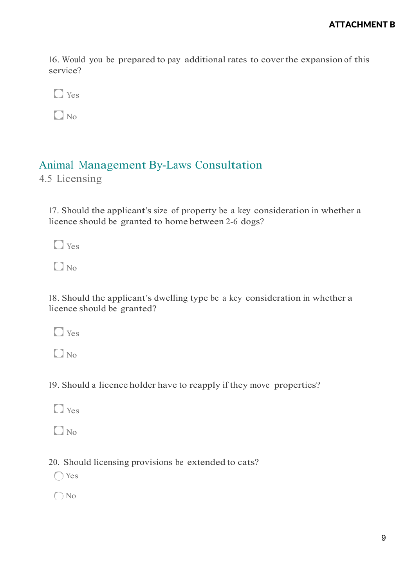16. Would you be prepared to pay additional rates to coverthe expansion of this service?

**D** Yes

 $\Box$  No

#### Animal Management By-Laws Consultation

4.5 Licensing

17. Should the applicant's size of property be <sup>a</sup> key consideration in whether a licence should be granted to home between 2-6 dogs?

**O** Yes

 $\Box$  No

18. Should the applicant's dwelling type be <sup>a</sup> key consideration in whether a licence should be granted?

**D** Yes

 $\Box$  No

19. Should <sup>a</sup> licence holder have to reapply if they move properties?

 $\Box$  Yes

 $\Box$  No.

20. Should licensing provisions be extended to cats?

Yes

O No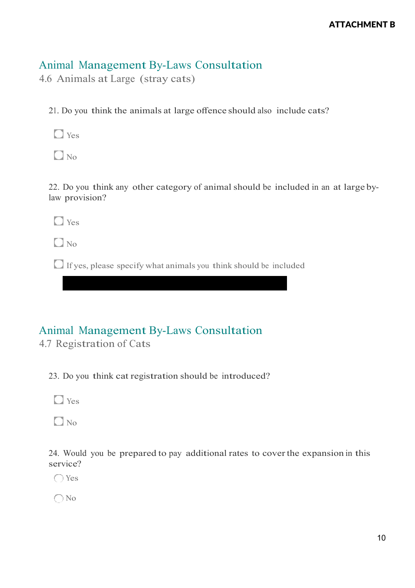4.6 Animals at Large (stray cats)

21. Do you think the animals at large offence should also include cats?

**D** Yes

 $\Box$  No

22. Do you think any other category of animal should be included in an at large bylaw provision?

**N** Yes

 $\Box$  No.

 $\Box$  If yes, please specify what animals you think should be included

## Animal Management By-Laws Consultation

4.7 Registration of Cats

23. Do you think cat registration should be introduced?

**D** Yes

 $\Box$  No

24. Would you be prepared to pay additional rates to coverthe expansion in this service?

Yes

○ No